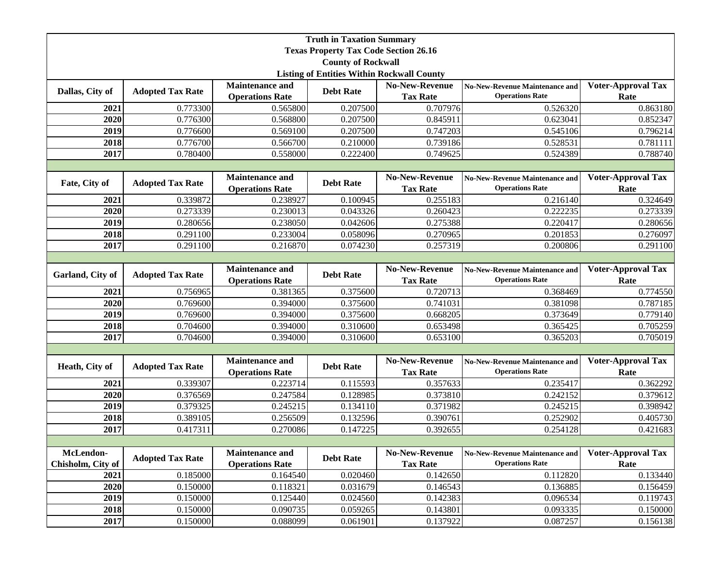|                                                   |                         |                        | <b>Truth in Taxation Summary</b> |                       |                                       |                           |  |
|---------------------------------------------------|-------------------------|------------------------|----------------------------------|-----------------------|---------------------------------------|---------------------------|--|
| <b>Texas Property Tax Code Section 26.16</b>      |                         |                        |                                  |                       |                                       |                           |  |
|                                                   |                         |                        | <b>County of Rockwall</b>        |                       |                                       |                           |  |
| <b>Listing of Entities Within Rockwall County</b> |                         |                        |                                  |                       |                                       |                           |  |
| Dallas, City of                                   | <b>Adopted Tax Rate</b> | <b>Maintenance and</b> | <b>Debt Rate</b>                 | <b>No-New-Revenue</b> | <b>No-New-Revenue Maintenance and</b> | <b>Voter-Approval Tax</b> |  |
|                                                   |                         | <b>Operations Rate</b> |                                  | <b>Tax Rate</b>       | <b>Operations Rate</b>                | Rate                      |  |
| 2021                                              | 0.773300                | 0.565800               | 0.207500                         | 0.707976              | 0.526320                              | 0.863180                  |  |
| 2020                                              | 0.776300                | 0.568800               | 0.207500                         | 0.845911              | 0.623041                              | 0.852347                  |  |
| $\frac{2019}{ }$                                  | 0.776600                | 0.569100               | 0.207500                         | 0.747203              | 0.545106                              | 0.796214                  |  |
| 2018                                              | 0.776700                | 0.566700               | 0.210000                         | 0.739186              | 0.528531                              | 0.781111                  |  |
| 2017                                              | 0.780400                | 0.558000               | 0.222400                         | 0.749625              | 0.524389                              | 0.788740                  |  |
|                                                   |                         |                        |                                  |                       |                                       |                           |  |
| Fate, City of                                     | <b>Adopted Tax Rate</b> | <b>Maintenance and</b> | <b>Debt Rate</b>                 | <b>No-New-Revenue</b> | <b>No-New-Revenue Maintenance and</b> | <b>Voter-Approval Tax</b> |  |
|                                                   |                         | <b>Operations Rate</b> |                                  | <b>Tax Rate</b>       | <b>Operations Rate</b>                | Rate                      |  |
| 2021                                              | 0.339872                | 0.238927               | 0.100945                         | 0.255183              | 0.216140                              | 0.324649                  |  |
| 2020                                              | 0.273339                | 0.230013               | 0.043326                         | 0.260423              | 0.222235                              | 0.273339                  |  |
| 2019                                              | 0.280656                | 0.238050               | 0.042606                         | 0.275388              | 0.220417                              | 0.280656                  |  |
| 2018                                              | 0.291100                | 0.233004               | 0.058096                         | 0.270965              | 0.201853                              | 0.276097                  |  |
| 2017                                              | 0.291100                | 0.216870               | 0.074230                         | 0.257319              | 0.200806                              | 0.291100                  |  |
|                                                   |                         |                        |                                  |                       |                                       |                           |  |
| Garland, City of                                  | <b>Adopted Tax Rate</b> | <b>Maintenance and</b> | <b>Debt Rate</b>                 | No-New-Revenue        | <b>No-New-Revenue Maintenance and</b> | <b>Voter-Approval Tax</b> |  |
|                                                   |                         | <b>Operations Rate</b> |                                  | <b>Tax Rate</b>       | <b>Operations Rate</b>                | Rate                      |  |
| 2021                                              | 0.756965                | 0.381365               | 0.375600                         | 0.720713              | 0.368469                              | 0.774550                  |  |
| 2020                                              | 0.769600                | 0.394000               | 0.375600                         | 0.741031              | 0.381098                              | 0.787185                  |  |
| 2019                                              | 0.769600                | 0.394000               | 0.375600                         | 0.668205              | 0.373649                              | 0.779140                  |  |
| 2018                                              | 0.704600                | 0.394000               | 0.310600                         | 0.653498              | 0.365425                              | 0.705259                  |  |
| 2017                                              | 0.704600                | 0.394000               | 0.310600                         | 0.653100              | 0.365203                              | 0.705019                  |  |
|                                                   |                         |                        |                                  |                       |                                       |                           |  |
| Heath, City of                                    | <b>Adopted Tax Rate</b> | <b>Maintenance and</b> | <b>Debt Rate</b>                 | <b>No-New-Revenue</b> | <b>No-New-Revenue Maintenance and</b> | <b>Voter-Approval Tax</b> |  |
|                                                   |                         | <b>Operations Rate</b> |                                  | <b>Tax Rate</b>       | <b>Operations Rate</b>                | Rate                      |  |
| 2021                                              | 0.339307                | 0.223714               | 0.115593                         | 0.357633              | 0.235417                              | 0.362292                  |  |
| 2020                                              | 0.376569                | 0.247584               | 0.128985                         | 0.373810              | 0.242152                              | 0.379612                  |  |
| 2019                                              | 0.379325                | 0.245215               | 0.134110                         | 0.371982              | 0.245215                              | 0.398942                  |  |
| 2018                                              | 0.389105                | 0.256509               | 0.132596                         | 0.390761              | 0.252902                              | 0.405730                  |  |
| 2017                                              | 0.417311                | 0.270086               | 0.147225                         | 0.392655              | 0.254128                              | 0.421683                  |  |
| McLendon-                                         |                         | <b>Maintenance and</b> |                                  | No-New-Revenue        | <b>No-New-Revenue Maintenance and</b> | <b>Voter-Approval Tax</b> |  |
| Chisholm, City of                                 | <b>Adopted Tax Rate</b> | <b>Operations Rate</b> | <b>Debt Rate</b>                 | <b>Tax Rate</b>       | <b>Operations Rate</b>                | Rate                      |  |
| 2021                                              | 0.185000                | 0.164540               | 0.020460                         | 0.142650              | 0.112820                              | 0.133440                  |  |
| 2020                                              | 0.150000                | 0.118321               | 0.031679                         | 0.146543              | 0.136885                              | 0.156459                  |  |
| 2019                                              | 0.150000                | 0.125440               | 0.024560                         | 0.142383              | 0.096534                              | 0.119743                  |  |
| 2018                                              | 0.150000                | 0.090735               | 0.059265                         | 0.143801              | 0.093335                              | 0.150000                  |  |
| 2017                                              | 0.150000                | 0.088099               | 0.061901                         | 0.137922              | 0.087257                              | 0.156138                  |  |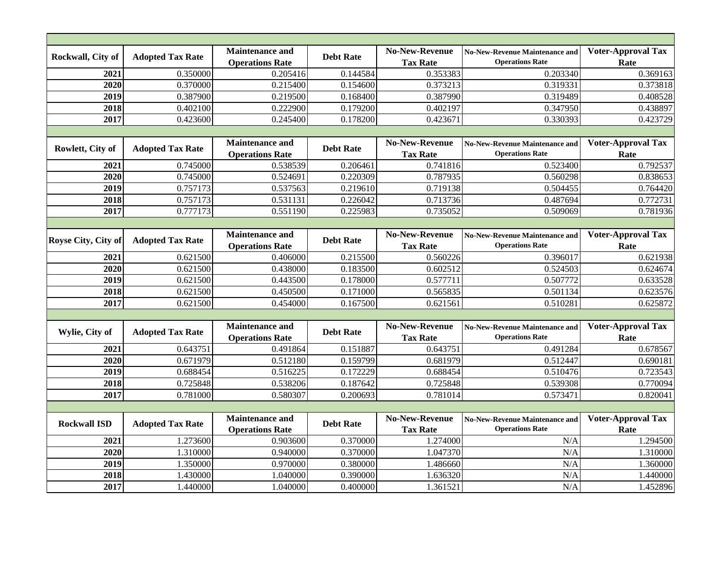| Rockwall, City of   | <b>Adopted Tax Rate</b> | <b>Maintenance and</b><br><b>Operations Rate</b> | <b>Debt Rate</b> | <b>No-New-Revenue</b><br><b>Tax Rate</b> | <b>No-New-Revenue Maintenance and</b><br><b>Operations Rate</b> | <b>Voter-Approval Tax</b><br>Rate |  |
|---------------------|-------------------------|--------------------------------------------------|------------------|------------------------------------------|-----------------------------------------------------------------|-----------------------------------|--|
| 2021                | 0.350000                | 0.205416                                         | 0.144584         | 0.353383                                 | 0.203340                                                        | 0.369163                          |  |
| 2020                | 0.370000                | 0.215400                                         | 0.154600         | 0.373213                                 | 0.319331                                                        | 0.373818                          |  |
| 2019                | 0.387900                | 0.219500                                         | 0.168400         | 0.387990                                 | 0.319489                                                        | 0.408528                          |  |
| 2018                | 0.402100                | 0.222900                                         | 0.179200         | 0.402197                                 | 0.347950                                                        | 0.438897                          |  |
| 2017                | 0.423600                | 0.245400                                         | 0.178200         | 0.423671                                 | 0.330393                                                        | 0.423729                          |  |
|                     |                         |                                                  |                  |                                          |                                                                 |                                   |  |
| Rowlett, City of    | <b>Adopted Tax Rate</b> | <b>Maintenance and</b><br><b>Operations Rate</b> | <b>Debt Rate</b> | <b>No-New-Revenue</b><br><b>Tax Rate</b> | <b>No-New-Revenue Maintenance and</b><br><b>Operations Rate</b> | <b>Voter-Approval Tax</b><br>Rate |  |
| 2021                | 0.745000                | 0.538539                                         | 0.206461         | 0.741816                                 | 0.523400                                                        | 0.792537                          |  |
| 2020                | 0.745000                | 0.524691                                         | 0.220309         | 0.787935                                 | 0.560298                                                        | 0.838653                          |  |
| 2019                | 0.757173                | 0.537563                                         | 0.219610         | 0.719138                                 | 0.504455                                                        | 0.764420                          |  |
| 2018                | 0.757173                | 0.531131                                         | 0.226042         | 0.713736                                 | 0.487694                                                        | 0.772731                          |  |
| 2017                | 0.777173                | 0.551190                                         | 0.225983         | 0.735052                                 | 0.509069                                                        | 0.781936                          |  |
|                     |                         |                                                  |                  |                                          |                                                                 |                                   |  |
| Royse City, City of | <b>Adopted Tax Rate</b> | <b>Maintenance and</b><br><b>Operations Rate</b> | <b>Debt Rate</b> | <b>No-New-Revenue</b><br><b>Tax Rate</b> | <b>No-New-Revenue Maintenance and</b><br><b>Operations Rate</b> | <b>Voter-Approval Tax</b><br>Rate |  |
| 2021                | 0.621500                | 0.406000                                         | 0.215500         | 0.560226                                 | 0.396017                                                        | 0.621938                          |  |
| 2020                | 0.621500                | 0.438000                                         | 0.183500         | 0.602512                                 | 0.524503                                                        | 0.624674                          |  |
| 2019                | 0.621500                | 0.443500                                         | 0.178000         | 0.577711                                 | 0.507772                                                        | 0.633528                          |  |
| 2018                | 0.621500                | 0.450500                                         | 0.171000         | 0.565835                                 | 0.501134                                                        | 0.623576                          |  |
| 2017                | 0.621500                | 0.454000                                         | 0.167500         | 0.621561                                 | 0.510281                                                        | 0.625872                          |  |
|                     |                         |                                                  |                  |                                          |                                                                 |                                   |  |
| Wylie, City of      | <b>Adopted Tax Rate</b> | <b>Maintenance and</b><br><b>Operations Rate</b> | <b>Debt Rate</b> | <b>No-New-Revenue</b><br><b>Tax Rate</b> | <b>No-New-Revenue Maintenance and</b><br><b>Operations Rate</b> | <b>Voter-Approval Tax</b><br>Rate |  |
| 2021                | 0.643751                | 0.491864                                         | 0.151887         | 0.643751                                 | 0.491284                                                        | 0.678567                          |  |
| 2020                | 0.671979                | 0.512180                                         | 0.159799         | 0.681979                                 | 0.512447                                                        | 0.690181                          |  |
| 2019                | 0.688454                | 0.516225                                         | 0.172229         | 0.688454                                 | 0.510476                                                        | 0.723543                          |  |
| 2018                | 0.725848                | 0.538206                                         | 0.187642         | 0.725848                                 | 0.539308                                                        | 0.770094                          |  |
| 2017                | 0.781000                | 0.580307                                         | 0.200693         | 0.781014                                 | 0.573471                                                        | 0.820041                          |  |
|                     |                         |                                                  |                  |                                          |                                                                 |                                   |  |
| <b>Rockwall ISD</b> | <b>Adopted Tax Rate</b> | <b>Maintenance and</b><br><b>Operations Rate</b> | <b>Debt Rate</b> | No-New-Revenue<br><b>Tax Rate</b>        | <b>No-New-Revenue Maintenance and</b><br><b>Operations Rate</b> | <b>Voter-Approval Tax</b><br>Rate |  |
| 2021                | 1.273600                | 0.903600                                         | 0.370000         | 1.274000                                 | N/A                                                             | 1.294500                          |  |
| 2020                | 1.310000                | 0.940000                                         | 0.370000         | 1.047370                                 | N/A                                                             | 1.310000                          |  |
| 2019                | 1.350000                | 0.970000                                         | 0.380000         | 1.486660                                 | N/A                                                             | 1.360000                          |  |
| 2018                | 1.430000                | 1.040000                                         | 0.390000         | 1.636320                                 | N/A                                                             | 1.440000                          |  |
| 2017                | 1.440000                | 1.040000                                         | 0.400000         | 1.361521                                 | N/A                                                             | 1.452896                          |  |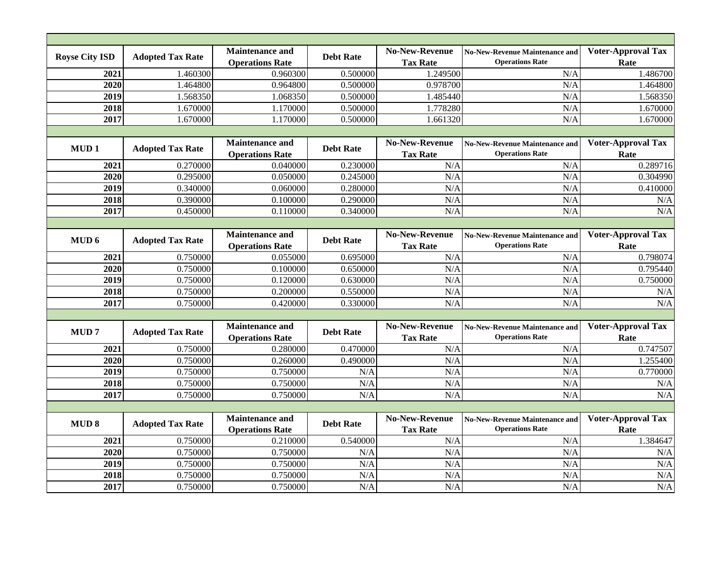| <b>Royse City ISD</b> | <b>Adopted Tax Rate</b> | <b>Maintenance and</b><br><b>Operations Rate</b> | <b>Debt Rate</b> | <b>No-New-Revenue</b><br><b>Tax Rate</b> | <b>No-New-Revenue Maintenance and</b><br><b>Operations Rate</b> | <b>Voter-Approval Tax</b><br>Rate |
|-----------------------|-------------------------|--------------------------------------------------|------------------|------------------------------------------|-----------------------------------------------------------------|-----------------------------------|
| 2021                  | 1.460300                | 0.960300                                         | 0.500000         | 1.249500                                 | N/A                                                             | 1.486700                          |
| 2020                  | 1.464800                | 0.964800                                         | 0.500000         | 0.978700                                 | N/A                                                             | 1.464800                          |
| 2019                  | 1.568350                | 1.068350                                         | 0.500000         | 1.485440                                 | N/A                                                             | 1.568350                          |
| 2018                  | 1.670000                | 1.170000                                         | 0.500000         | 1.778280                                 | N/A                                                             | 1.670000                          |
| 2017                  | 1.670000                | 1.170000                                         | 0.500000         | 1.661320                                 | N/A                                                             | 1.670000                          |
|                       |                         |                                                  |                  |                                          |                                                                 |                                   |
| MUD <sub>1</sub>      | <b>Adopted Tax Rate</b> | <b>Maintenance and</b><br><b>Operations Rate</b> | <b>Debt Rate</b> | <b>No-New-Revenue</b><br><b>Tax Rate</b> | <b>No-New-Revenue Maintenance and</b><br><b>Operations Rate</b> | <b>Voter-Approval Tax</b><br>Rate |
| 2021                  | 0.270000                | 0.040000                                         | 0.230000         | N/A                                      | N/A                                                             | 0.289716                          |
| 2020                  | 0.295000                | 0.050000                                         | 0.245000         | N/A                                      | N/A                                                             | 0.304990                          |
| 2019                  | 0.340000                | 0.060000                                         | 0.280000         | N/A                                      | N/A                                                             | 0.410000                          |
| 2018                  | 0.390000                | 0.100000                                         | 0.290000         | N/A                                      | N/A                                                             | N/A                               |
| 2017                  | 0.450000                | 0.110000                                         | 0.340000         | N/A                                      | N/A                                                             | N/A                               |
|                       |                         |                                                  |                  |                                          |                                                                 |                                   |
| MUD <sub>6</sub>      | <b>Adopted Tax Rate</b> | <b>Maintenance and</b><br><b>Operations Rate</b> | <b>Debt Rate</b> | <b>No-New-Revenue</b><br><b>Tax Rate</b> | <b>No-New-Revenue Maintenance and</b><br><b>Operations Rate</b> | <b>Voter-Approval Tax</b><br>Rate |
| 2021                  | 0.750000                | 0.055000                                         | 0.695000         | N/A                                      | N/A                                                             | 0.798074                          |
| 2020                  | 0.750000                | 0.100000                                         | 0.650000         | N/A                                      | N/A                                                             | 0.795440                          |
| 2019                  | 0.750000                | 0.120000                                         | 0.630000         | N/A                                      | N/A                                                             | 0.750000                          |
| 2018                  | 0.750000                | 0.200000                                         | 0.550000         | N/A                                      | N/A                                                             | N/A                               |
| 2017                  | 0.750000                | 0.420000                                         | 0.330000         | N/A                                      | N/A                                                             | N/A                               |
|                       |                         |                                                  |                  |                                          |                                                                 |                                   |
| <b>MUD7</b>           | <b>Adopted Tax Rate</b> | <b>Maintenance and</b><br><b>Operations Rate</b> | <b>Debt Rate</b> | <b>No-New-Revenue</b><br><b>Tax Rate</b> | <b>No-New-Revenue Maintenance and</b><br><b>Operations Rate</b> | <b>Voter-Approval Tax</b><br>Rate |
| 2021                  | 0.750000                | 0.280000                                         | 0.470000         | N/A                                      | N/A                                                             | 0.747507                          |
| 2020                  | 0.750000                | 0.260000                                         | 0.490000         | N/A                                      | N/A                                                             | 1.255400                          |
| 2019                  | 0.750000                | 0.750000                                         | N/A              | N/A                                      | N/A                                                             | 0.770000                          |
| 2018                  | 0.750000                | 0.750000                                         | N/A              | N/A                                      | N/A                                                             | N/A                               |
| 2017                  | 0.750000                | 0.750000                                         | N/A              | N/A                                      | N/A                                                             | N/A                               |
|                       |                         |                                                  |                  |                                          |                                                                 |                                   |
| <b>MUD 8</b>          | <b>Adopted Tax Rate</b> | <b>Maintenance and</b><br><b>Operations Rate</b> | <b>Debt Rate</b> | <b>No-New-Revenue</b><br><b>Tax Rate</b> | <b>No-New-Revenue Maintenance and</b><br><b>Operations Rate</b> | <b>Voter-Approval Tax</b><br>Rate |
| 2021                  | 0.750000                | 0.210000                                         | 0.540000         | N/A                                      | N/A                                                             | 1.384647                          |
| 2020                  | 0.750000                | 0.750000                                         | N/A              | N/A                                      | N/A                                                             | N/A                               |
| 2019                  | 0.750000                | 0.750000                                         | N/A              | N/A                                      | N/A                                                             | N/A                               |
| 2018                  | 0.750000                | 0.750000                                         | N/A              | N/A                                      | N/A                                                             | N/A                               |
| 2017                  | 0.750000                | 0.750000                                         | N/A              | N/A                                      | N/A                                                             | N/A                               |